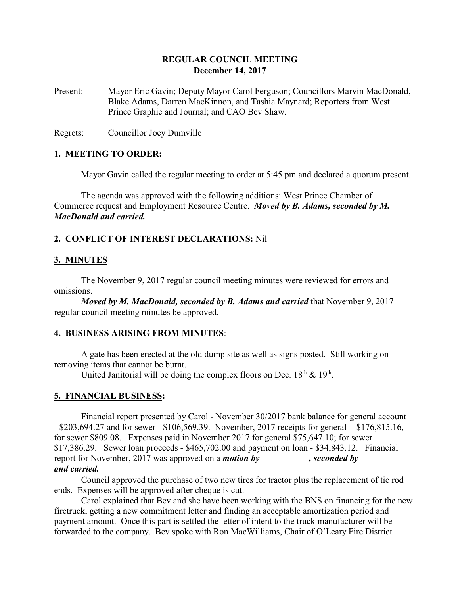## **REGULAR COUNCIL MEETING December 14, 2017**

Present: Mayor Eric Gavin; Deputy Mayor Carol Ferguson; Councillors Marvin MacDonald, Blake Adams, Darren MacKinnon, and Tashia Maynard; Reporters from West Prince Graphic and Journal; and CAO Bev Shaw.

Regrets: Councillor Joey Dumville

### **1. MEETING TO ORDER:**

Mayor Gavin called the regular meeting to order at 5:45 pm and declared a quorum present.

The agenda was approved with the following additions: West Prince Chamber of Commerce request and Employment Resource Centre. *Moved by B. Adams, seconded by M. MacDonald and carried.*

### **2. CONFLICT OF INTEREST DECLARATIONS:** Nil

### **3. MINUTES**

The November 9, 2017 regular council meeting minutes were reviewed for errors and omissions.

*Moved by M. MacDonald, seconded by B. Adams and carried* that November 9, 2017 regular council meeting minutes be approved.

### **4. BUSINESS ARISING FROM MINUTES**:

A gate has been erected at the old dump site as well as signs posted. Still working on removing items that cannot be burnt.

United Janitorial will be doing the complex floors on Dec.  $18<sup>th</sup>$  &  $19<sup>th</sup>$ .

### **5. FINANCIAL BUSINESS:**

Financial report presented by Carol - November 30/2017 bank balance for general account - \$203,694.27 and for sewer - \$106,569.39. November, 2017 receipts for general - \$176,815.16, for sewer \$809.08. Expenses paid in November 2017 for general \$75,647.10; for sewer \$17,386.29. Sewer loan proceeds - \$465,702.00 and payment on loan - \$34,843.12. Financial report for November, 2017 was approved on a *motion by , seconded by and carried.*

# Council approved the purchase of two new tires for tractor plus the replacement of tie rod ends. Expenses will be approved after cheque is cut.

Carol explained that Bev and she have been working with the BNS on financing for the new firetruck, getting a new commitment letter and finding an acceptable amortization period and payment amount. Once this part is settled the letter of intent to the truck manufacturer will be forwarded to the company. Bev spoke with Ron MacWilliams, Chair of O'Leary Fire District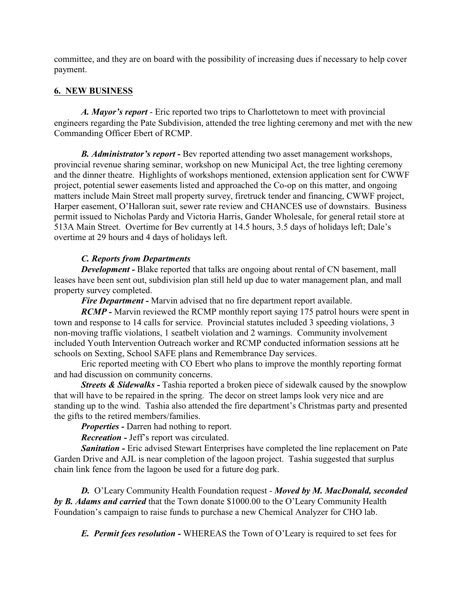committee, and they are on board with the possibility of increasing dues if necessary to help cover payment.

## **6. NEW BUSINESS**

*A. Mayor's report* - Eric reported two trips to Charlottetown to meet with provincial engineers regarding the Pate Subdivision, attended the tree lighting ceremony and met with the new Commanding Officer Ebert of RCMP.

*B. Administrator's report -* Bev reported attending two asset management workshops, provincial revenue sharing seminar, workshop on new Municipal Act, the tree lighting ceremony and the dinner theatre. Highlights of workshops mentioned, extension application sent for CWWF project, potential sewer easements listed and approached the Co-op on this matter, and ongoing matters include Main Street mall property survey, firetruck tender and financing, CWWF project, Harper easement, O'Halloran suit, sewer rate review and CHANCES use of downstairs. Business permit issued to Nicholas Pardy and Victoria Harris, Gander Wholesale, for general retail store at 513A Main Street. Overtime for Bev currently at 14.5 hours, 3.5 days of holidays left; Dale's overtime at 29 hours and 4 days of holidays left.

## *C. Reports from Departments*

*Development* - Blake reported that talks are ongoing about rental of CN basement, mall leases have been sent out, subdivision plan still held up due to water management plan, and mall property survey completed.

*Fire Department -* Marvin advised that no fire department report available.

*RCMP* - Marvin reviewed the RCMP monthly report saying 175 patrol hours were spent in town and response to 14 calls for service. Provincial statutes included 3 speeding violations, 3 non-moving traffic violations, 1 seatbelt violation and 2 warnings. Community involvement included Youth Intervention Outreach worker and RCMP conducted information sessions att he schools on Sexting, School SAFE plans and Remembrance Day services.

Eric reported meeting with CO Ebert who plans to improve the monthly reporting format and had discussion on community concerns.

*Streets & Sidewalks* - Tashia reported a broken piece of sidewalk caused by the snowplow that will have to be repaired in the spring. The decor on street lamps look very nice and are standing up to the wind. Tashia also attended the fire department's Christmas party and presented the gifts to the retired members/families.

*Properties -* Darren had nothing to report.

*Recreation -* Jeff's report was circulated.

*Sanitation -* Eric advised Stewart Enterprises have completed the line replacement on Pate Garden Drive and AJL is near completion of the lagoon project. Tashia suggested that surplus chain link fence from the lagoon be used for a future dog park.

*D.* O'Leary Community Health Foundation request - *Moved by M. MacDonald, seconded by B. Adams and carried* that the Town donate \$1000.00 to the O'Leary Community Health Foundation's campaign to raise funds to purchase a new Chemical Analyzer for CHO lab.

*E. Permit fees resolution -* WHEREAS the Town of O'Leary is required to set fees for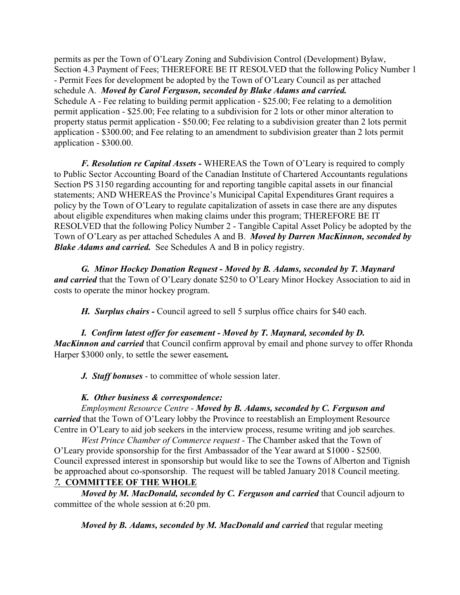permits as per the Town of O'Leary Zoning and Subdivision Control (Development) Bylaw, Section 4.3 Payment of Fees; THEREFORE BE IT RESOLVED that the following Policy Number 1 - Permit Fees for development be adopted by the Town of O'Leary Council as per attached schedule A. *Moved by Carol Ferguson, seconded by Blake Adams and carried.* Schedule A - Fee relating to building permit application - \$25.00; Fee relating to a demolition permit application - \$25.00; Fee relating to a subdivision for 2 lots or other minor alteration to property status permit application - \$50.00; Fee relating to a subdivision greater than 2 lots permit application - \$300.00; and Fee relating to an amendment to subdivision greater than 2 lots permit application - \$300.00.

*F. Resolution re Capital Assets -* WHEREAS the Town of O'Leary is required to comply to Public Sector Accounting Board of the Canadian Institute of Chartered Accountants regulations Section PS 3150 regarding accounting for and reporting tangible capital assets in our financial statements; AND WHEREAS the Province's Municipal Capital Expenditures Grant requires a policy by the Town of O'Leary to regulate capitalization of assets in case there are any disputes about eligible expenditures when making claims under this program; THEREFORE BE IT RESOLVED that the following Policy Number 2 - Tangible Capital Asset Policy be adopted by the Town of O'Leary as per attached Schedules A and B. *Moved by Darren MacKinnon, seconded by Blake Adams and carried.* See Schedules A and B in policy registry.

*G. Minor Hockey Donation Request - Moved by B. Adams, seconded by T. Maynard and carried* that the Town of O'Leary donate \$250 to O'Leary Minor Hockey Association to aid in costs to operate the minor hockey program.

*H. Surplus chairs -* Council agreed to sell 5 surplus office chairs for \$40 each.

*I. Confirm latest offer for easement - Moved by T. Maynard, seconded by D. MacKinnon and carried* that Council confirm approval by email and phone survey to offer Rhonda Harper \$3000 only, to settle the sewer easement*.*

*J. Staff bonuses* - to committee of whole session later.

## *K. Other business & correspondence:*

*Employment Resource Centre - Moved by B. Adams, seconded by C. Ferguson and carried* that the Town of O'Leary lobby the Province to reestablish an Employment Resource Centre in O'Leary to aid job seekers in the interview process, resume writing and job searches.

*West Prince Chamber of Commerce request -* The Chamber asked that the Town of O'Leary provide sponsorship for the first Ambassador of the Year award at \$1000 - \$2500. Council expressed interest in sponsorship but would like to see the Towns of Alberton and Tignish be approached about co-sponsorship. The request will be tabled January 2018 Council meeting.

## *7.* **COMMITTEE OF THE WHOLE**

*Moved by M. MacDonald, seconded by C. Ferguson and carried that Council adjourn to* committee of the whole session at 6:20 pm.

*Moved by B. Adams, seconded by M. MacDonald and carried* that regular meeting